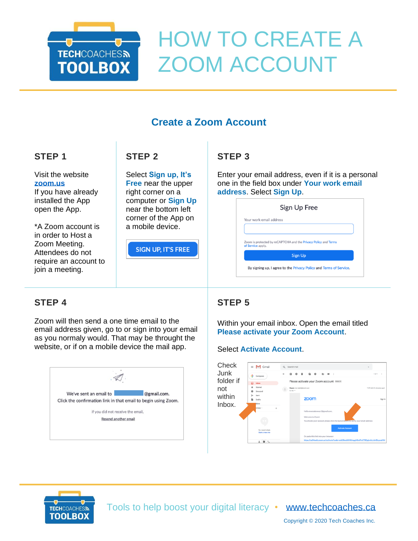

# HOW TO CREATE A ZOOM ACCOUNT

# **Create a Zoom Account**

# **STEP 1**

Visit the website **[zoom.us](/Users/melindaferlin-tiller/Downloads/zoom.us)** If you have already

installed the App open the App.

\*A Zoom account is in order to Host a Zoom Meeting. Attendees do not require an account to join a meeting.

# **STEP 2**

Select **Sign up, It's Free** near the upper right corner on a computer or **Sign Up** near the bottom left corner of the App on a mobile device.

**SIGN UP, IT'S FREE** 

# **STEP 3**

Enter your email address, even if it is a personal one in the field box under **Your work email address**. Select **Sign Up**.

|                         | Sign Up Free                                                    |
|-------------------------|-----------------------------------------------------------------|
| Your work email address |                                                                 |
|                         |                                                                 |
| of Service apply.       | Zoom is protected by reCAPTCHA and the Privacy Policy and Terms |
|                         |                                                                 |

# **STEP 4**

Zoom will then send a one time email to the email address given, go to or sign into your email as you normaly would. That may be throught the website, or if on a mobile device the mail app.



# **STEP 5**

Within your email inbox. Open the email titled **Please activate your Zoom Account**.

### Select **Activate Account**.





Tools to help boost your digital literacy • [www.techcoaches.ca](http://www.techcoaches.ca/)